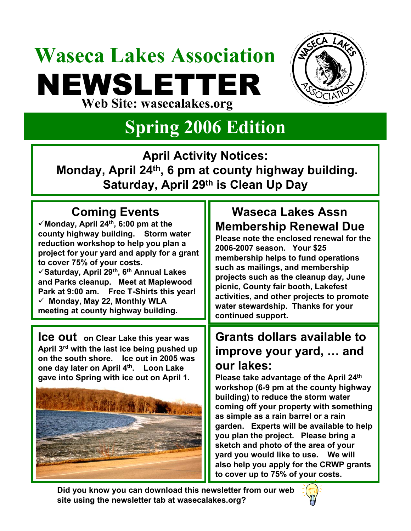## **Waseca Lakes Association** NEWSLETTER **Web Site: wasecalakes.org**



### **Spring 2006 Edition**

**April Activity Notices:** 

**Monday, April 24th, 6 pm at county highway building. Saturday, April 29th is Clean Up Day** 

### **Coming Events**

 $\checkmark$  Monday, April 24<sup>th</sup>, 6:00 pm at the **county highway building. Storm water reduction workshop to help you plan a project for your yard and apply for a grant to cover 75% of your costs.**  9**Saturday, April 29th, 6th Annual Lakes and Parks cleanup. Meet at Maplewood Park at 9:00 am. Free T-Shirts this year!** 9 **Monday, May 22, Monthly WLA meeting at county highway building.** 

**Ice out on Clear Lake this year was April 3rd with the last ice being pushed up on the south shore. Ice out in 2005 was one day later on April 4th. Loon Lake gave into Spring with ice out on April 1.** 



### **Waseca Lakes Assn Membership Renewal Due**

**Please note the enclosed renewal for the 2006-2007 season. Your \$25 membership helps to fund operations such as mailings, and membership projects such as the cleanup day, June picnic, County fair booth, Lakefest activities, and other projects to promote water stewardship. Thanks for your continued support.**

### **Grants dollars available to improve your yard, … and our lakes:**

**Please take advantage of the April 24th workshop (6-9 pm at the county highway building) to reduce the storm water coming off your property with something as simple as a rain barrel or a rain garden. Experts will be available to help you plan the project. Please bring a sketch and photo of the area of your yard you would like to use. We will also help you apply for the CRWP grants to cover up to 75% of your costs.** 

**Did you know you can download this newsletter from our web site using the newsletter tab at wasecalakes.org?**